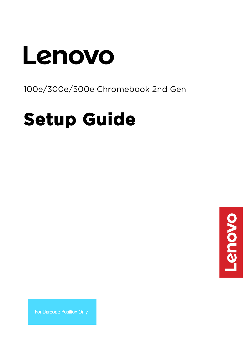# Lenovo

## 100e/300e/500e Chromebook 2nd Gen

## **Setup Guide**



For Barcode Position Only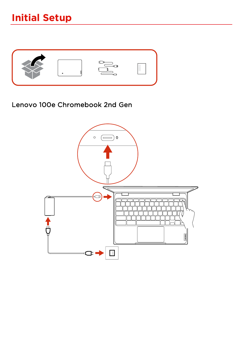

#### Lenovo 100e Chromebook 2nd Gen

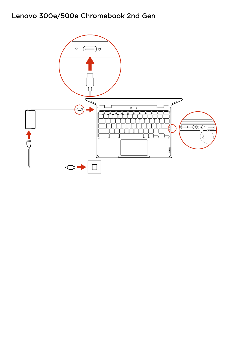#### Lenovo 300e/500e Chromebook 2nd Gen

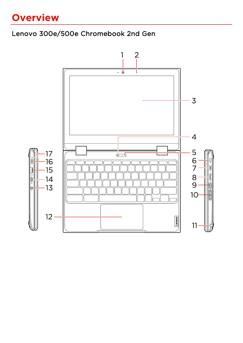## **Overview**

#### Lenovo 300e/500e Chromebook 2nd Gen

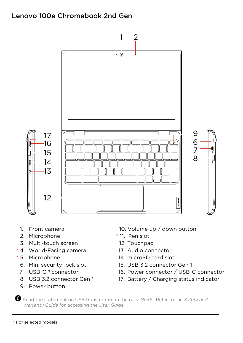#### Lenovo 100e Chromebook 2nd Gen



- 1. Front camera
- 2. Microphone
- 3. Multi-touch screen
- \* 4. World-Facing camera
- \* 5. Microphone
	- 6. Mini security-lock slot
	- 7. USB-C™ connector
	- 8. USB 3.2 connector Gen 1
	- 9. Power button
- 10. Volume up / down button
- \* 11. Pen slot
- 12. Touchpad
- 13. Audio connector
- 14. microSD card slot
- 15. USB 3.2 connector Gen 1
- 16. Power connector / USB-C connector
- 17. Battery / Charging status indicator

Read the statement on USB transfer rate in the *User Guide*. Refer to the *Safety and Warranty Guide* for accessing the *User Guide.*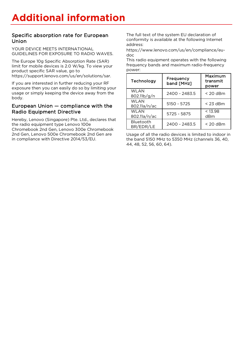#### Specific absorption rate for European Union

YOUR DEVICE MEETS INTERNATIONAL GUIDELINES FOR EXPOSURE TO RADIO WAVES.

The Europe 10g Specific Absorption Rate (SAR) limit for mobile devices is 2.0 W/kg. To view your product specific SAR value, go to https://support.lenovo.com/us/en/solutions/sar.

If you are interested in further reducing your RF exposure then you can easily do so by limiting your usage or simply keeping the device away from the body.

#### European Union — compliance with the Radio Equipment Directive

Hereby, Lenovo (Singapore) Pte. Ltd., declares that the radio equipment type Lenovo 100e Chromebook 2nd Gen, Lenovo 300e Chromebook 2nd Gen, Lenovo 500e Chromebook 2nd Gen are in compliance with Directive 2014/53/EU.

The full text of the system EU declaration of conformity is available at the following Internet address:

https://www.lenovo.com/us/en/compliance/eudoc

[This radio equipment operates with the following](https://www.lenovo.com/us/en/compliance/eu-doc)  [frequ](https://www.lenovo.com/us/en/compliance/eu-doc)ency bands and maximum radio-frequency power:

| Technology             | Frequency<br>band [MHz] | Maximum<br>transmit<br>power |
|------------------------|-------------------------|------------------------------|
| WI AN<br>802.11b/g/n   | 2400 - 2483.5           | $<$ 20 dBm                   |
| WI AN<br>802.11a/n/ac  | $5150 - 5725$           | $<$ 23 dBm                   |
| WI AN<br>802.11a/n/ac  | 5725 - 5875             | < 13.98<br>dBm               |
| Bluetooth<br>BR/EDR/LE | 2400 - 2483.5           | $<$ 20 dBm                   |

Usage of all the radio devices is limited to indoor in the band 5150 MHz to 5350 MHz (channels 36, 40, 44, 48, 52, 56, 60, 64).